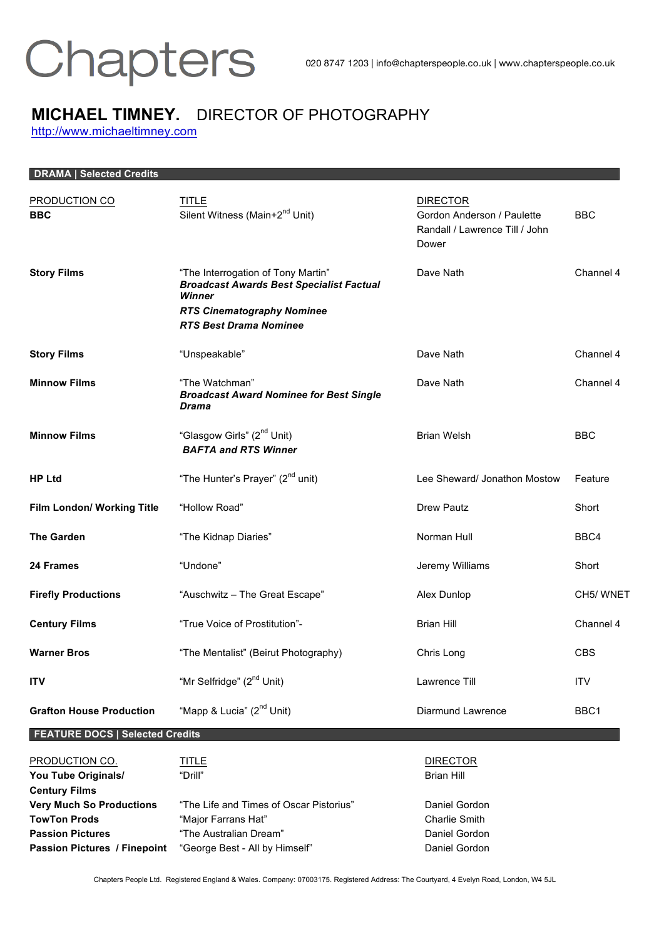

### **MICHAEL TIMNEY.** DIRECTOR OF PHOTOGRAPHY http://www.michaeltimney.com

| <b>DRAMA   Selected Credits</b>                               |                                                                                                                                                                       |                                                                                          |            |
|---------------------------------------------------------------|-----------------------------------------------------------------------------------------------------------------------------------------------------------------------|------------------------------------------------------------------------------------------|------------|
| PRODUCTION CO<br><b>BBC</b>                                   | <b>TITLE</b><br>Silent Witness (Main+2 <sup>nd</sup> Unit)                                                                                                            | <b>DIRECTOR</b><br>Gordon Anderson / Paulette<br>Randall / Lawrence Till / John<br>Dower | <b>BBC</b> |
| <b>Story Films</b>                                            | "The Interrogation of Tony Martin"<br><b>Broadcast Awards Best Specialist Factual</b><br>Winner<br><b>RTS Cinematography Nominee</b><br><b>RTS Best Drama Nominee</b> | Dave Nath                                                                                | Channel 4  |
| <b>Story Films</b>                                            | "Unspeakable"                                                                                                                                                         | Dave Nath                                                                                | Channel 4  |
| <b>Minnow Films</b>                                           | "The Watchman"<br><b>Broadcast Award Nominee for Best Single</b><br>Drama                                                                                             | Dave Nath                                                                                | Channel 4  |
| <b>Minnow Films</b>                                           | "Glasgow Girls" (2 <sup>nd</sup> Unit)<br><b>BAFTA and RTS Winner</b>                                                                                                 | <b>Brian Welsh</b>                                                                       | <b>BBC</b> |
| <b>HP Ltd</b>                                                 | "The Hunter's Prayer" (2 <sup>nd</sup> unit)                                                                                                                          | Lee Sheward/ Jonathon Mostow                                                             | Feature    |
| Film London/ Working Title                                    | "Hollow Road"                                                                                                                                                         | Drew Pautz                                                                               | Short      |
| <b>The Garden</b>                                             | "The Kidnap Diaries"                                                                                                                                                  | Norman Hull                                                                              | BBC4       |
| <b>24 Frames</b>                                              | "Undone"                                                                                                                                                              | Jeremy Williams                                                                          | Short      |
| <b>Firefly Productions</b>                                    | "Auschwitz - The Great Escape"                                                                                                                                        | Alex Dunlop                                                                              | CH5/WNET   |
| <b>Century Films</b>                                          | "True Voice of Prostitution"-                                                                                                                                         | <b>Brian Hill</b>                                                                        | Channel 4  |
| <b>Warner Bros</b>                                            | "The Mentalist" (Beirut Photography)                                                                                                                                  | Chris Long                                                                               | <b>CBS</b> |
| <b>ITV</b>                                                    | "Mr Selfridge" (2 <sup>nd</sup> Unit)                                                                                                                                 | Lawrence Till                                                                            | <b>ITV</b> |
| <b>Grafton House Production</b>                               | "Mapp & Lucia" (2 <sup>nd</sup> Unit)                                                                                                                                 | Diarmund Lawrence                                                                        | BBC1       |
| <b>FEATURE DOCS   Selected Credits</b>                        |                                                                                                                                                                       |                                                                                          |            |
| PRODUCTION CO.<br>You Tube Originals/<br><b>Century Films</b> | <b>TITLE</b><br>"Drill"                                                                                                                                               | <b>DIRECTOR</b><br><b>Brian Hill</b>                                                     |            |
| <b>Very Much So Productions</b><br><b>TowTon Prods</b>        | "The Life and Times of Oscar Pistorius"<br>"Major Farrans Hat"                                                                                                        | Daniel Gordon<br><b>Charlie Smith</b>                                                    |            |

Chapters People Ltd. Registered England & Wales. Company: 07003175. Registered Address: The Courtyard, 4 Evelyn Road, London, W4 5JL

**Passion Pictures** "The Australian Dream" **Canadian Dividends** Daniel Gordon **Passion Pictures / Finepoint** "George Best - All by Himself" Daniel Gordon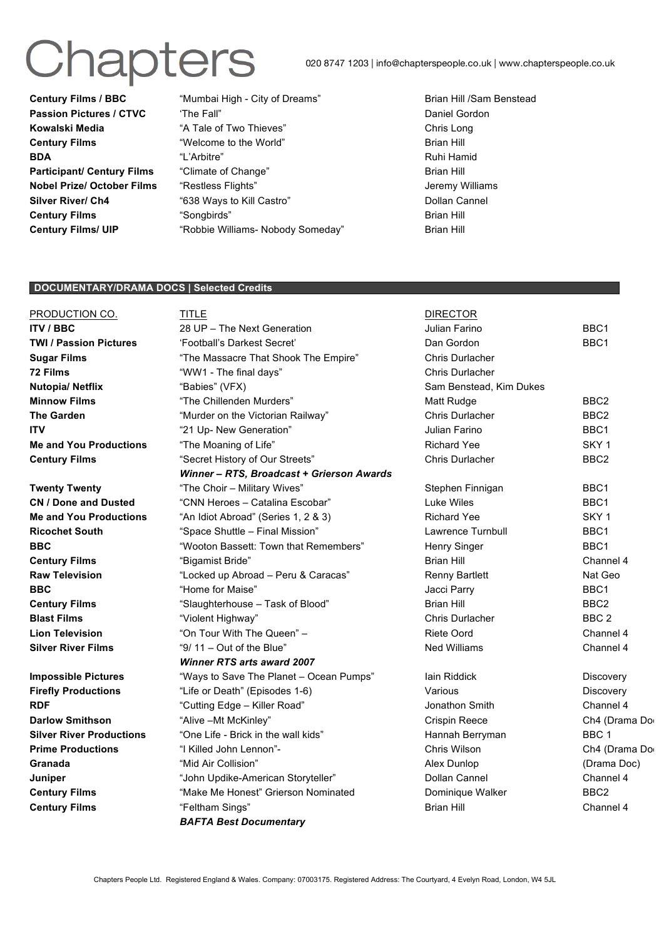## Chapters

020 8747 1203 | info@chapterspeople.co.uk | www.chapterspeople.co.uk

**Century Films / BBC** "Mumbai High - City of Dreams" Brian Hill /Sam Benstead **Passion Pictures / CTVC** The Fall" The Call The Conduction of the Daniel Gordon Conduction of the Daniel Gordon **Kowalski Media** "A Tale of Two Thieves" **Chris Long Chris Long Century Films Century Films Century Films Brian Hill BDA** "L'Arbitre" Communication et al. Arbitre et al. Arbitre et al. Arbitre et al. Arbitre et al. Arbitre et al. Arbitre et al. Arbitre et al. Arbitre et al. Arbitre et al. Arbitre et al. Arbitre et al. Arbitre et al. Arb **Participant/ Century Films** "Climate of Change" **Brian Hill Nobel Prize/ October Films** "Restless Flights" **Secure 2016** Jeremy Williams **Silver River/ Ch4** "638 Ways to Kill Castro" The Collan Cannel **Century Films Century Films Century Films Brian Hill Century Films/ UIP** "Robbie Williams- Nobody Someday" Brian Hill

#### **DOCUMENTARY/DRAMA DOCS | Selected Credits**

| PRODUCTION CO.                  | <b>TITLE</b>                              | <b>DIRECTOR</b>          |                  |
|---------------------------------|-------------------------------------------|--------------------------|------------------|
| <b>ITV / BBC</b>                | 28 UP - The Next Generation               | Julian Farino            | BBC1             |
| <b>TWI / Passion Pictures</b>   | 'Football's Darkest Secret'               | Dan Gordon               | BBC1             |
| <b>Sugar Films</b>              | "The Massacre That Shook The Empire"      | Chris Durlacher          |                  |
| 72 Films                        | "WW1 - The final days"                    | Chris Durlacher          |                  |
| Nutopia/ Netflix                | "Babies" (VFX)                            | Sam Benstead, Kim Dukes  |                  |
| <b>Minnow Films</b>             | "The Chillenden Murders"                  | Matt Rudge               | BBC <sub>2</sub> |
| <b>The Garden</b>               | "Murder on the Victorian Railway"         | Chris Durlacher          | BBC <sub>2</sub> |
| <b>ITV</b>                      | "21 Up- New Generation"                   | Julian Farino            | BBC1             |
| <b>Me and You Productions</b>   | "The Moaning of Life"                     | <b>Richard Yee</b>       | SKY <sub>1</sub> |
| <b>Century Films</b>            | "Secret History of Our Streets"           | Chris Durlacher          | BBC <sub>2</sub> |
|                                 | Winner - RTS, Broadcast + Grierson Awards |                          |                  |
| <b>Twenty Twenty</b>            | "The Choir - Military Wives"              | Stephen Finnigan         | BBC1             |
| <b>CN / Done and Dusted</b>     | "CNN Heroes - Catalina Escobar"           | Luke Wiles               | BBC <sub>1</sub> |
| <b>Me and You Productions</b>   | "An Idiot Abroad" (Series 1, 2 & 3)       | <b>Richard Yee</b>       | SKY <sub>1</sub> |
| <b>Ricochet South</b>           | "Space Shuttle - Final Mission"           | <b>Lawrence Turnbull</b> | BBC <sub>1</sub> |
| <b>BBC</b>                      | "Wooton Bassett: Town that Remembers"     | Henry Singer             | BBC1             |
| <b>Century Films</b>            | "Bigamist Bride"                          | <b>Brian Hill</b>        | Channel 4        |
| <b>Raw Television</b>           | "Locked up Abroad - Peru & Caracas"       | <b>Renny Bartlett</b>    | Nat Geo          |
| <b>BBC</b>                      | "Home for Maise"                          | Jacci Parry              | BBC1             |
| <b>Century Films</b>            | "Slaughterhouse - Task of Blood"          | <b>Brian Hill</b>        | BBC <sub>2</sub> |
| <b>Blast Films</b>              | "Violent Highway"                         | Chris Durlacher          | BBC <sub>2</sub> |
| <b>Lion Television</b>          | "On Tour With The Queen" -                | Riete Oord               | Channel 4        |
| <b>Silver River Films</b>       | "9/ $11 - Out$ of the Blue"               | <b>Ned Williams</b>      | Channel 4        |
|                                 | <b>Winner RTS arts award 2007</b>         |                          |                  |
| <b>Impossible Pictures</b>      | "Ways to Save The Planet - Ocean Pumps"   | lain Riddick             | Discovery        |
| <b>Firefly Productions</b>      | "Life or Death" (Episodes 1-6)            | Various                  | Discovery        |
| <b>RDF</b>                      | "Cutting Edge - Killer Road"              | Jonathon Smith           | Channel 4        |
| <b>Darlow Smithson</b>          | "Alive - Mt McKinley"                     | <b>Crispin Reece</b>     | Ch4 (Drama Do    |
| <b>Silver River Productions</b> | "One Life - Brick in the wall kids"       | Hannah Berryman          | BBC <sub>1</sub> |
| <b>Prime Productions</b>        | "I Killed John Lennon"-                   | Chris Wilson             | Ch4 (Drama Do    |
| Granada                         | "Mid Air Collision"                       | Alex Dunlop              | (Drama Doc)      |
| Juniper                         | "John Updike-American Storyteller"        | Dollan Cannel            | Channel 4        |
| <b>Century Films</b>            | "Make Me Honest" Grierson Nominated       | Dominique Walker         | BBC <sub>2</sub> |
| <b>Century Films</b>            | "Feltham Sings"                           | Brian Hill               | Channel 4        |

*BAFTA Best Documentary*